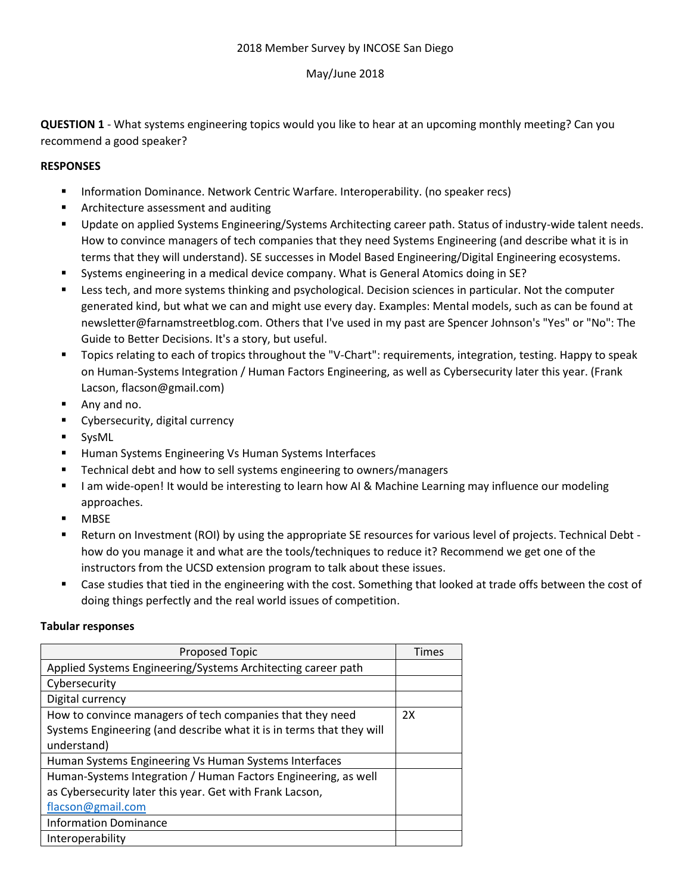## 2018 Member Survey by INCOSE San Diego

# May/June 2018

**QUESTION 1** - What systems engineering topics would you like to hear at an upcoming monthly meeting? Can you recommend a good speaker?

# **RESPONSES**

- Information Dominance. Network Centric Warfare. Interoperability. (no speaker recs)
- Architecture assessment and auditing
- Update on applied Systems Engineering/Systems Architecting career path. Status of industry-wide talent needs. How to convince managers of tech companies that they need Systems Engineering (and describe what it is in terms that they will understand). SE successes in Model Based Engineering/Digital Engineering ecosystems.
- Systems engineering in a medical device company. What is General Atomics doing in SE?
- Less tech, and more systems thinking and psychological. Decision sciences in particular. Not the computer generated kind, but what we can and might use every day. Examples: Mental models, such as can be found at newsletter@farnamstreetblog.com. Others that I've used in my past are Spencer Johnson's "Yes" or "No": The Guide to Better Decisions. It's a story, but useful.
- Topics relating to each of tropics throughout the "V-Chart": requirements, integration, testing. Happy to speak on Human-Systems Integration / Human Factors Engineering, as well as Cybersecurity later this year. (Frank Lacson, flacson@gmail.com)
- Any and no.
- Cybersecurity, digital currency
- SysML
- Human Systems Engineering Vs Human Systems Interfaces
- Technical debt and how to sell systems engineering to owners/managers
- I am wide-open! It would be interesting to learn how AI & Machine Learning may influence our modeling approaches.
- **MBSE**
- Return on Investment (ROI) by using the appropriate SE resources for various level of projects. Technical Debt how do you manage it and what are the tools/techniques to reduce it? Recommend we get one of the instructors from the UCSD extension program to talk about these issues.
- Case studies that tied in the engineering with the cost. Something that looked at trade offs between the cost of doing things perfectly and the real world issues of competition.

### **Tabular responses**

| <b>Proposed Topic</b>                                                                                                             | Times |
|-----------------------------------------------------------------------------------------------------------------------------------|-------|
| Applied Systems Engineering/Systems Architecting career path                                                                      |       |
| Cybersecurity                                                                                                                     |       |
| Digital currency                                                                                                                  |       |
| How to convince managers of tech companies that they need<br>Systems Engineering (and describe what it is in terms that they will | 2X    |
| understand)                                                                                                                       |       |
| Human Systems Engineering Vs Human Systems Interfaces                                                                             |       |
| Human-Systems Integration / Human Factors Engineering, as well                                                                    |       |
| as Cybersecurity later this year. Get with Frank Lacson,                                                                          |       |
| flacson@gmail.com                                                                                                                 |       |
| <b>Information Dominance</b>                                                                                                      |       |
| Interoperability                                                                                                                  |       |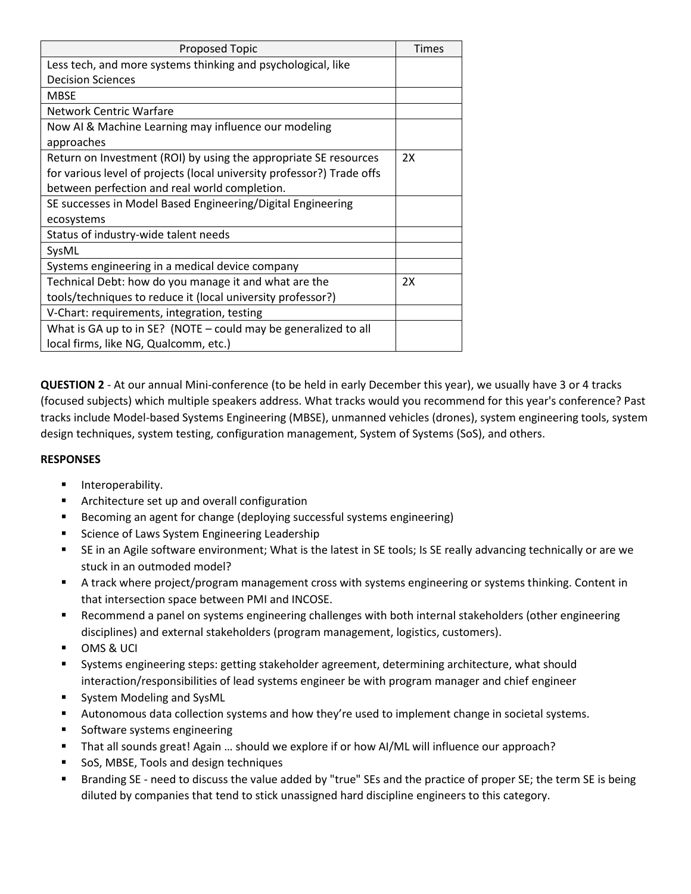| <b>Proposed Topic</b>                                                  | <b>Times</b> |
|------------------------------------------------------------------------|--------------|
| Less tech, and more systems thinking and psychological, like           |              |
| <b>Decision Sciences</b>                                               |              |
| <b>MBSE</b>                                                            |              |
| <b>Network Centric Warfare</b>                                         |              |
| Now AI & Machine Learning may influence our modeling                   |              |
| approaches                                                             |              |
| Return on Investment (ROI) by using the appropriate SE resources       | 2X           |
| for various level of projects (local university professor?) Trade offs |              |
| between perfection and real world completion.                          |              |
| SE successes in Model Based Engineering/Digital Engineering            |              |
| ecosystems                                                             |              |
| Status of industry-wide talent needs                                   |              |
| SysML                                                                  |              |
| Systems engineering in a medical device company                        |              |
| Technical Debt: how do you manage it and what are the                  | 2X           |
| tools/techniques to reduce it (local university professor?)            |              |
| V-Chart: requirements, integration, testing                            |              |
| What is GA up to in SE? (NOTE - could may be generalized to all        |              |
| local firms, like NG, Qualcomm, etc.)                                  |              |

**QUESTION 2** - At our annual Mini-conference (to be held in early December this year), we usually have 3 or 4 tracks (focused subjects) which multiple speakers address. What tracks would you recommend for this year's conference? Past tracks include Model-based Systems Engineering (MBSE), unmanned vehicles (drones), system engineering tools, system design techniques, system testing, configuration management, System of Systems (SoS), and others.

# **RESPONSES**

- **■** Interoperability.
- Architecture set up and overall configuration
- Becoming an agent for change (deploying successful systems engineering)
- Science of Laws System Engineering Leadership
- SE in an Agile software environment; What is the latest in SE tools; Is SE really advancing technically or are we stuck in an outmoded model?
- A track where project/program management cross with systems engineering or systems thinking. Content in that intersection space between PMI and INCOSE.
- Recommend a panel on systems engineering challenges with both internal stakeholders (other engineering disciplines) and external stakeholders (program management, logistics, customers).
- OMS & UCI
- Systems engineering steps: getting stakeholder agreement, determining architecture, what should interaction/responsibilities of lead systems engineer be with program manager and chief engineer
- System Modeling and SysML
- Autonomous data collection systems and how they're used to implement change in societal systems.
- Software systems engineering
- That all sounds great! Again ... should we explore if or how AI/ML will influence our approach?
- SoS, MBSE, Tools and design techniques
- Branding SE need to discuss the value added by "true" SEs and the practice of proper SE; the term SE is being diluted by companies that tend to stick unassigned hard discipline engineers to this category.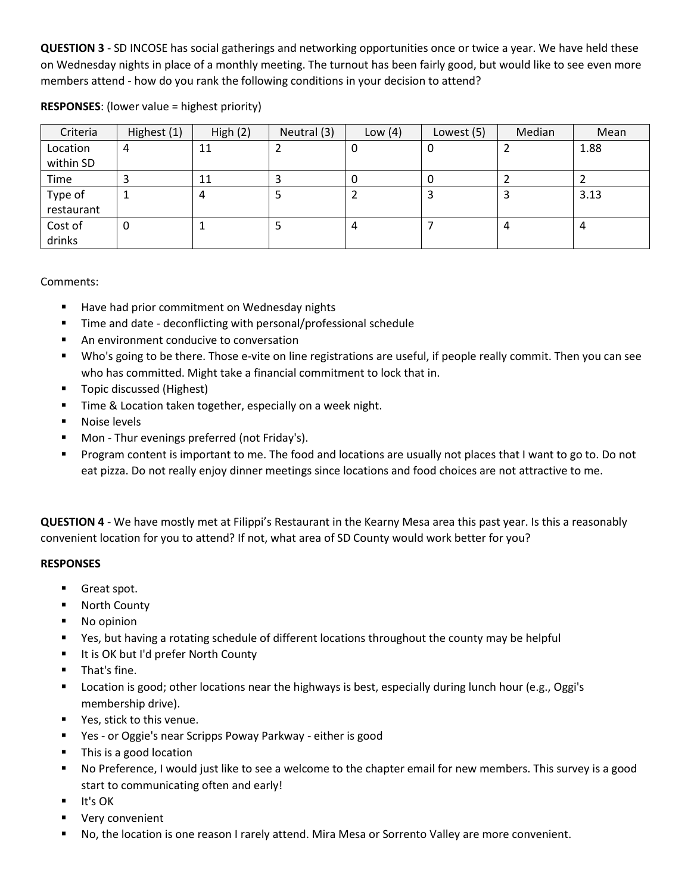**QUESTION 3** - SD INCOSE has social gatherings and networking opportunities once or twice a year. We have held these on Wednesday nights in place of a monthly meeting. The turnout has been fairly good, but would like to see even more members attend - how do you rank the following conditions in your decision to attend?

| Criteria   | Highest (1) | High $(2)$ | Neutral (3) | Low $(4)$ | Lowest (5) | Median | Mean |
|------------|-------------|------------|-------------|-----------|------------|--------|------|
| Location   | 4           | 11         |             | U         | 0          |        | 1.88 |
| within SD  |             |            |             |           |            |        |      |
| Time       | 3           | 11         |             |           | 0          |        |      |
| Type of    |             | 4          |             |           |            |        | 3.13 |
| restaurant |             |            |             |           |            |        |      |
| Cost of    | 0           |            |             | 4         |            | 4      | 4    |
| drinks     |             |            |             |           |            |        |      |

# **RESPONSES**: (lower value = highest priority)

### Comments:

- Have had prior commitment on Wednesday nights
- Time and date deconflicting with personal/professional schedule
- An environment conducive to conversation
- Who's going to be there. Those e-vite on line registrations are useful, if people really commit. Then you can see who has committed. Might take a financial commitment to lock that in.
- Topic discussed (Highest)
- Time & Location taken together, especially on a week night.
- Noise levels
- Mon Thur evenings preferred (not Friday's).
- Program content is important to me. The food and locations are usually not places that I want to go to. Do not eat pizza. Do not really enjoy dinner meetings since locations and food choices are not attractive to me.

**QUESTION 4** - We have mostly met at Filippi's Restaurant in the Kearny Mesa area this past year. Is this a reasonably convenient location for you to attend? If not, what area of SD County would work better for you?

### **RESPONSES**

- Great spot.
- North County
- No opinion
- Yes, but having a rotating schedule of different locations throughout the county may be helpful
- It is OK but I'd prefer North County
- That's fine.
- Location is good; other locations near the highways is best, especially during lunch hour (e.g., Oggi's membership drive).
- Yes, stick to this venue.
- Yes or Oggie's near Scripps Poway Parkway either is good
- This is a good location
- No Preference, I would just like to see a welcome to the chapter email for new members. This survey is a good start to communicating often and early!
- It's OK
- Very convenient
- No, the location is one reason I rarely attend. Mira Mesa or Sorrento Valley are more convenient.